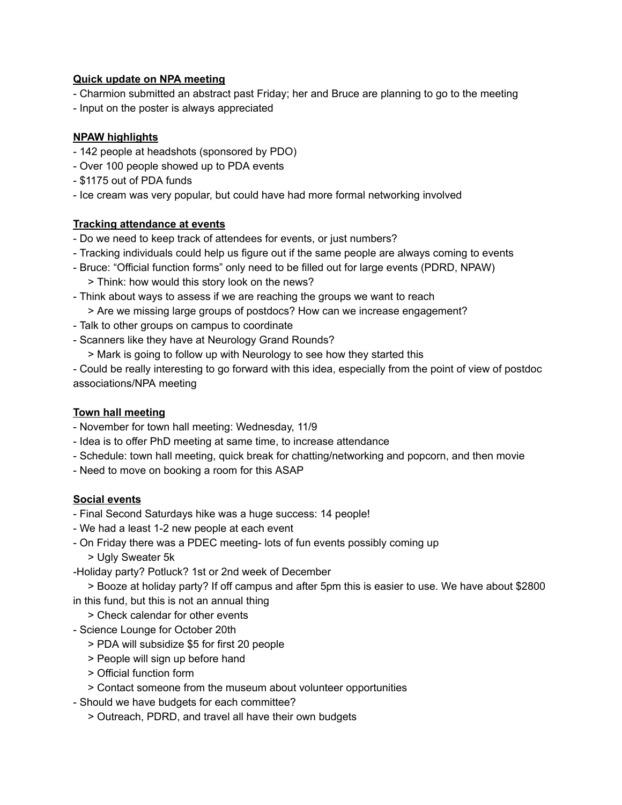#### **Quick update on NPA meeting**

- Charmion submitted an abstract past Friday; her and Bruce are planning to go to the meeting
- Input on the poster is always appreciated

# **NPAW highlights**

- 142 people at headshots (sponsored by PDO)
- Over 100 people showed up to PDA events
- \$1175 out of PDA funds
- Ice cream was very popular, but could have had more formal networking involved

### **Tracking attendance at events**

- Do we need to keep track of attendees for events, or just numbers?
- Tracking individuals could help us figure out if the same people are always coming to events
- Bruce: "Official function forms" only need to be filled out for large events (PDRD, NPAW) > Think: how would this story look on the news?
- Think about ways to assess if we are reaching the groups we want to reach
	- > Are we missing large groups of postdocs? How can we increase engagement?
- Talk to other groups on campus to coordinate
- Scanners like they have at Neurology Grand Rounds?
	- > Mark is going to follow up with Neurology to see how they started this

 Could be really interesting to go forward with this idea, especially from the point of view of postdoc associations/NPA meeting

### **Town hall meeting**

- November for town hall meeting: Wednesday, 11/9
- Idea is to offer PhD meeting at same time, to increase attendance
- Schedule: town hall meeting, quick break for chatting/networking and popcorn, and then movie
- Need to move on booking a room for this ASAP

# **Social events**

- Final Second Saturdays hike was a huge success: 14 people!
- We had a least 1-2 new people at each event
- On Friday there was a PDEC meeting- lots of fun events possibly coming up
	- > Ugly Sweater 5k
- Holiday party? Potluck? 1st or 2nd week of December
- > Booze at holiday party? If off campus and after 5pm this is easier to use. We have about \$2800
- in this fund, but this is not an annual thing
	- > Check calendar for other events
- Science Lounge for October 20th
	- > PDA will subsidize \$5 for first 20 people
	- > People will sign up before hand
	- > Official function form
	- > Contact someone from the museum about volunteer opportunities
- Should we have budgets for each committee?
	- > Outreach, PDRD, and travel all have their own budgets